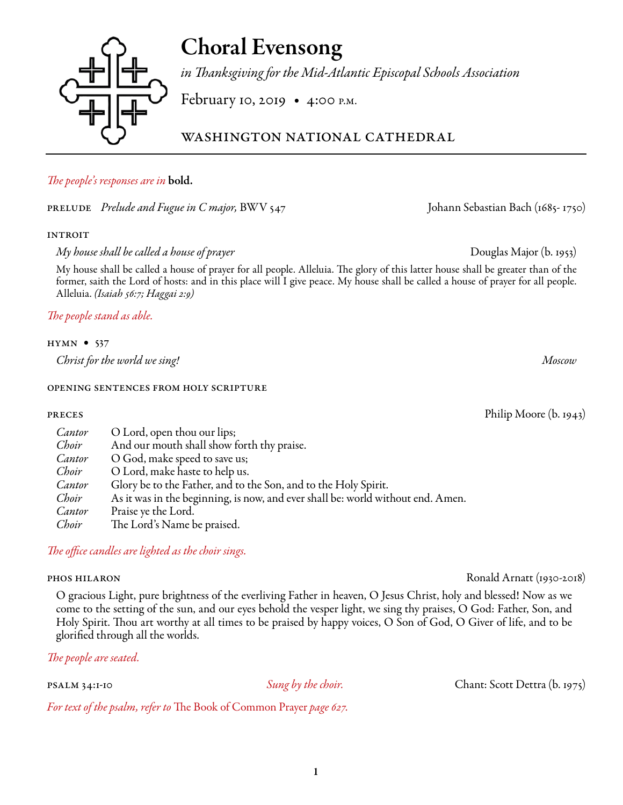### 1

# Choral Evensong

*in Thanksgiving for the Mid-Atlantic Episcopal Schools Association*

February 10, 2019 • 4:00 p.m.

washington national cathedral

# *The people's responses are in* bold.

prelude *Prelude and Fugue in C major,* BWV 547 Johann Sebastian Bach (1685- 1750)

# **INTROIT**

*My house shall be called a house of prayer* Douglas Major (b. 1953)

My house shall be called a house of prayer for all people. Alleluia. The glory of this latter house shall be greater than of the former, saith the Lord of hosts: and in this place will I give peace. My house shall be called a house of prayer for all people. Alleluia. *(Isaiah 56:7; Haggai 2:9)*

*The people stand as able.*

# hymn • 537

*Christ for the world we sing! Moscow* 

# opening sentences from holy scripture

| Cantor | O Lord, open thou our lips;                                                     |
|--------|---------------------------------------------------------------------------------|
| Choir  | And our mouth shall show forth thy praise.                                      |
| Cantor | O God, make speed to save us;                                                   |
| Choir  | O Lord, make haste to help us.                                                  |
| Cantor | Glory be to the Father, and to the Son, and to the Holy Spirit.                 |
| Choir  | As it was in the beginning, is now, and ever shall be: world without end. Amen. |
| Cantor | Praise ye the Lord.                                                             |
| Choir  | The Lord's Name be praised.                                                     |

*The office candles are lighted as the choir sings.*

# phos hilaron Ronald Arnatt (1930-2018)

O gracious Light, pure brightness of the everliving Father in heaven, O Jesus Christ, holy and blessed! Now as we come to the setting of the sun, and our eyes behold the vesper light, we sing thy praises, O God: Father, Son, and Holy Spirit. Thou art worthy at all times to be praised by happy voices, O Son of God, O Giver of life, and to be glorified through all the worlds.

*The people are seated.*

psalm 34:1-10 *Sung by the choir.* Chant: Scott Dettra (b. 1975)

*For text of the psalm, refer to* The Book of Common Prayer *page 627.*

preces Philip Moore (b. 1943)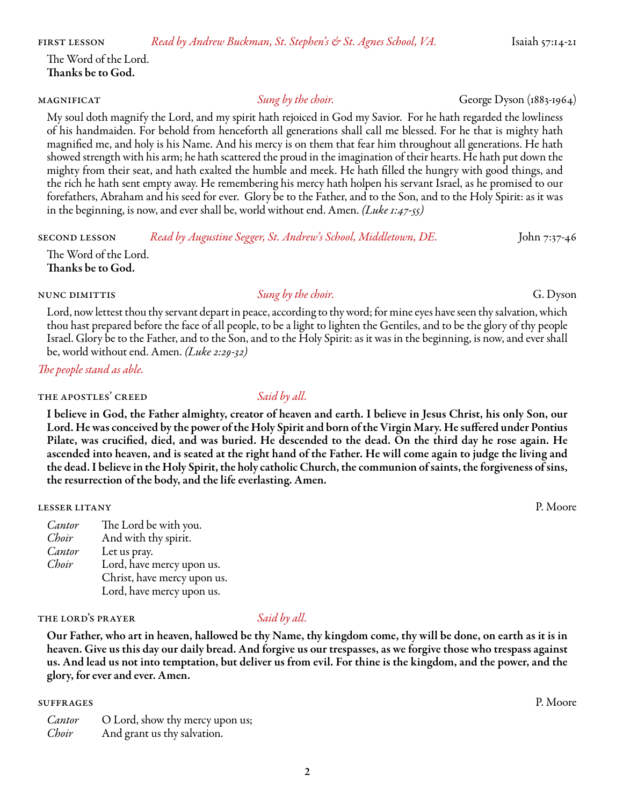first lesson *Read by Andrew Buckman, St. Stephen's & St. Agnes School, VA.* Isaiah 57:14-21

The Word of the Lord. Thanks be to God.

My soul doth magnify the Lord, and my spirit hath rejoiced in God my Savior. For he hath regarded the lowliness of his handmaiden. For behold from henceforth all generations shall call me blessed. For he that is mighty hath magnified me, and holy is his Name. And his mercy is on them that fear him throughout all generations. He hath showed strength with his arm; he hath scattered the proud in the imagination of their hearts. He hath put down the mighty from their seat, and hath exalted the humble and meek. He hath filled the hungry with good things, and the rich he hath sent empty away. He remembering his mercy hath holpen his servant Israel, as he promised to our forefathers, Abraham and his seed for ever. Glory be to the Father, and to the Son, and to the Holy Spirit: as it was in the beginning, is now, and ever shall be, world without end. Amen. *(Luke 1:47-55)*

second lesson *Read by Augustine Segger, St. Andrew's School, Middletown, DE.* John 7:37-46

The Word of the Lord. Thanks be to God.

### nunc dimittis *Sung by the choir.* G. Dyson

Lord, now lettest thou thy servant depart in peace, according to thy word; for mine eyes have seen thy salvation, which thou hast prepared before the face of all people, to be a light to lighten the Gentiles, and to be the glory of thy people Israel. Glory be to the Father, and to the Son, and to the Holy Spirit: as it was in the beginning, is now, and ever shall be, world without end. Amen. *(Luke 2:29-32)*

*The people stand as able.*

### THE APOSTLES' CREED *Said by all.*

I believe in God, the Father almighty, creator of heaven and earth. I believe in Jesus Christ, his only Son, our Lord. He was conceived by the power of the Holy Spirit and born of the Virgin Mary. He suffered under Pontius Pilate, was crucified, died, and was buried. He descended to the dead. On the third day he rose again. He ascended into heaven, and is seated at the right hand of the Father. He will come again to judge the living and the dead. I believe in the Holy Spirit, the holy catholic Church, the communion of saints, the forgiveness of sins, the resurrection of the body, and the life everlasting. Amen.

lesser litany P. Moore

*Cantor* The Lord be with you. *Choir* And with thy spirit. *Cantor* Let us pray. *Choir* Lord, have mercy upon us. Christ, have mercy upon us. Lord, have mercy upon us.

### the lord's prayer *Said by all.*

Our Father, who art in heaven, hallowed be thy Name, thy kingdom come, thy will be done, on earth as it is in heaven. Give us this day our daily bread. And forgive us our trespasses, as we forgive those who trespass against us. And lead us not into temptation, but deliver us from evil. For thine is the kingdom, and the power, and the glory, for ever and ever. Amen.

### suffrages P. Moore

| Cantor | O Lord, show thy mercy upon us; |
|--------|---------------------------------|
| Choir  | And grant us thy salvation.     |

magnificat *Sung by the choir.* George Dyson (1883-1964)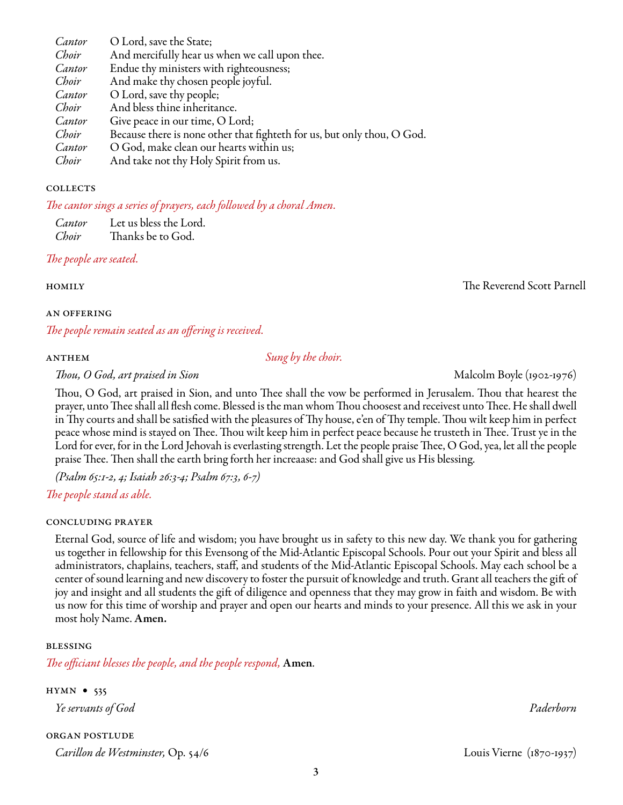3

*Cantor* O Lord, save the State; *Choir* And mercifully hear us when we call upon thee.<br>*Cantor* Endue thy ministers with righteousness: Endue thy ministers with righteousness; *Choir* And make thy chosen people joyful.<br>*Cantor* O Lord, save thy people: *Cantor* O Lord, save thy people;<br>*Choir* And bless thine inheritai And bless thine inheritance. *Cantor* Give peace in our time, O Lord;<br>*Choir* Because there is none other that *Choir* Because there is none other that fighteth for us, but only thou, O God.<br>*Cantor* O God. make clean our hearts within us: *Cantor* O God, make clean our hearts within us; *Choir* And take not thy Holy Spirit from us.

### **COLLECTS**

*The cantor sings a series of prayers, each followed by a choral Amen.* 

*Cantor* Let us bless the Lord. *Choir* Thanks be to God.

# *The people are seated.*

### an offering

*The people remain seated as an offering is received.* 

### anthem *Sung by the choir.*

*Thou, O God, art praised in Sion* Malcolm Boyle (1902-1976)

Thou, O God, art praised in Sion, and unto Thee shall the vow be performed in Jerusalem. Thou that hearest the prayer, unto Thee shall all flesh come. Blessed is the man whom Thou choosest and receivest unto Thee. He shall dwell in Thy courts and shall be satisfied with the pleasures of Thy house, e'en of Thy temple. Thou wilt keep him in perfect peace whose mind is stayed on Thee. Thou wilt keep him in perfect peace because he trusteth in Thee. Trust ye in the Lord for ever, for in the Lord Jehovah is everlasting strength. Let the people praise Thee, O God, yea, let all the people praise Thee. Then shall the earth bring forth her increaase: and God shall give us His blessing.

*(Psalm 65:1-2, 4; Isaiah 26:3-4; Psalm 67:3, 6-7)*

*The people stand as able.*

### concluding prayer

Eternal God, source of life and wisdom; you have brought us in safety to this new day. We thank you for gathering us together in fellowship for this Evensong of the Mid-Atlantic Episcopal Schools. Pour out your Spirit and bless all administrators, chaplains, teachers, staff, and students of the Mid-Atlantic Episcopal Schools. May each school be a center of sound learning and new discovery to foster the pursuit of knowledge and truth. Grant all teachers the gift of joy and insight and all students the gift of diligence and openness that they may grow in faith and wisdom. Be with us now for this time of worship and prayer and open our hearts and minds to your presence. All this we ask in your most holy Name. Amen.

### blessing

*The officiant blesses the people, and the people respond,* Amen*.*

hymn • 535 *Ye servants of God Paderborn*

organ postlude *Carillon de Westminster,* Op. 54/6Louis Vierne (1870-1937)

homilyThe Reverend Scott Parnell